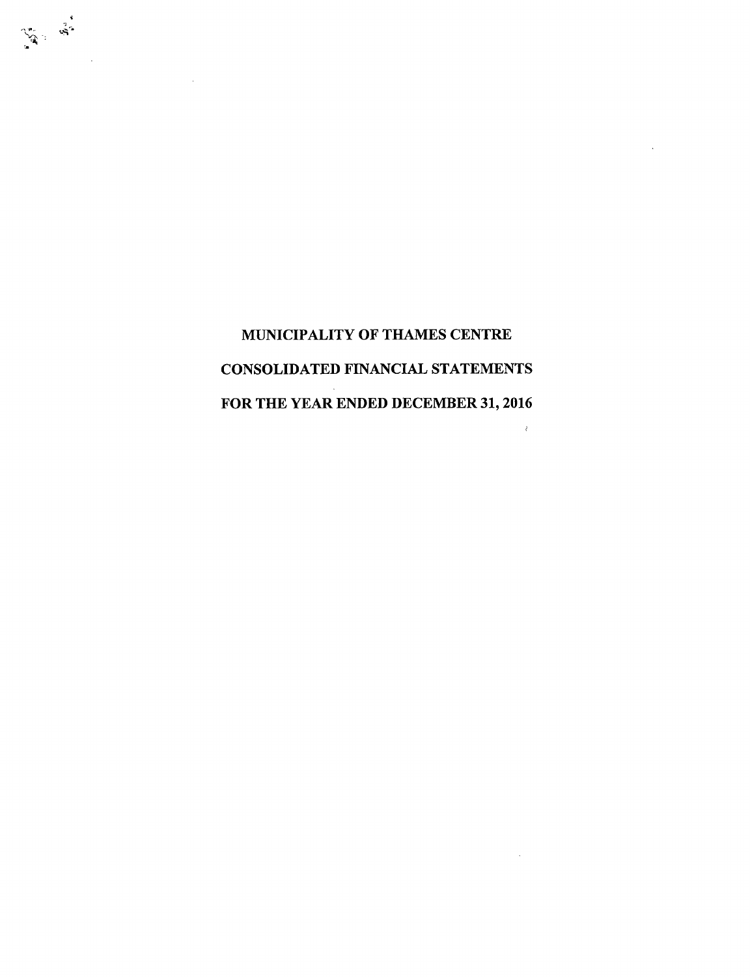$\bar{\ell}$ 

 $\sim 10^7$ 

 $\ddot{\phantom{a}}$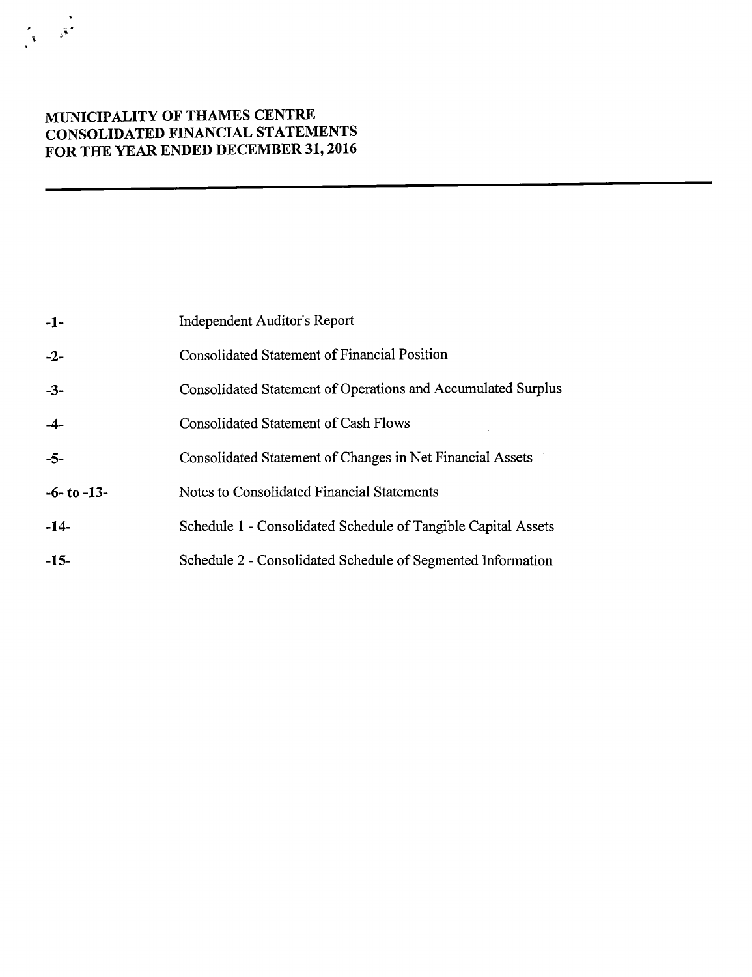| $-1-$             | Independent Auditor's Report                                  |
|-------------------|---------------------------------------------------------------|
| $-2-$             | Consolidated Statement of Financial Position                  |
| $-3-$             | Consolidated Statement of Operations and Accumulated Surplus  |
| $-4-$             | <b>Consolidated Statement of Cash Flows</b>                   |
| $-5-$             | Consolidated Statement of Changes in Net Financial Assets     |
| $-6$ - to $-13$ - | Notes to Consolidated Financial Statements                    |
| $-14-$            | Schedule 1 - Consolidated Schedule of Tangible Capital Assets |
| $-15-$            | Schedule 2 - Consolidated Schedule of Segmented Information   |

ä,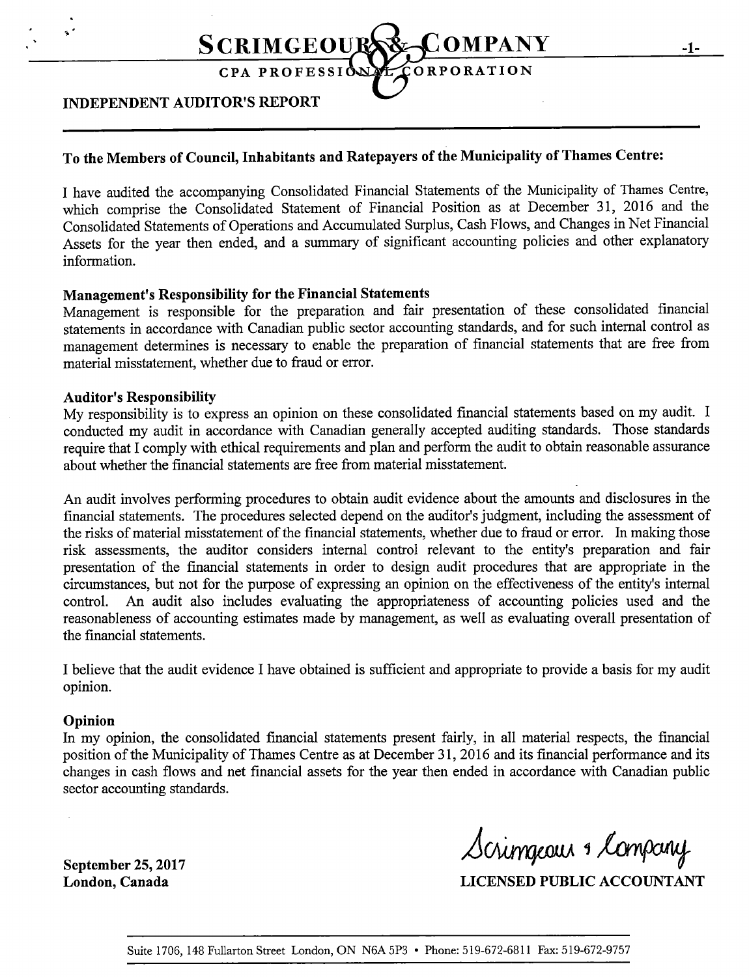

INDEPENDENT AUDITOR'S REPORT

# To the Members of Council, Inhabitants and Ratepayers of the Municipality of Thames Centre:

I have audited the accompanying Consolidated Financial Statements of the Municipality of Thames Centre, which comprise the Consolidated Statement of Financial Position as at December 31, 2016 and the Consolidated Statements of Operations and Accumulated Surplus, Cash Flows, and Changes in Net Financial Assets for the year then ended, and a summary of significant accounting policies and other explanatory information.

# Management's Responsibility for the Financial Statements

Management is responsible for the preparation and fair presentation of these consolidated financial statements in accordance with Canadian public sector accounting standards, and for such internal control as management determines is necessary to enable the preparation of financial statements that are free from material misstatement, whether due to fraud or error.

## **Auditor's Responsibility**

My responsibility is to express an opinion on these consolidated financial statements based on my audit. I conducted my audit in accordance with Canadian generally accepted auditing standards. Those standards require that I comply with ethical requirements and plan and perform the audit to obtain reasonable assurance about whether the financial statements are free from material misstatement.

An audit involves performing procedures to obtain audit evidence about the amounts and disclosures in the financial statements. The procedures selected depend on the auditor's judgment, including the assessment of the risks of material misstatement of the financial statements, whether due to fraud or error. In making those risk assessments, the auditor considers internal control relevant to the entity's preparation and fair presentation of the fmancial statements in order to design audit procedures that are appropriate in the circumstances, but not for the purpose of expressing an opinion on the effectiveness of the entity's internal control. An audit also includes evaluating the appropriateness of accounting policies used and the An audit also includes evaluating the appropriateness of accounting policies used and the reasonableness of accounting estimates made by management, as well as evaluating overall presentation of the financial statements.

I believe that the audit evidence I have obtained is sufficient and appropriate to provide a basis for my audit opinion.

## Opinion

In my opinion, the consolidated financial statements present fairly, in all material respects, the financial position of the Municipality of Thames Centre as at December 31, 2016 and its financial performance and its changes in cash flows and net financial assets for the year then ended in accordance with Canadian public sector accounting standards.

September 25, 2017

Scrimgeous & Company

London, Canada LICENSED PUBLIC ACCOUNTANT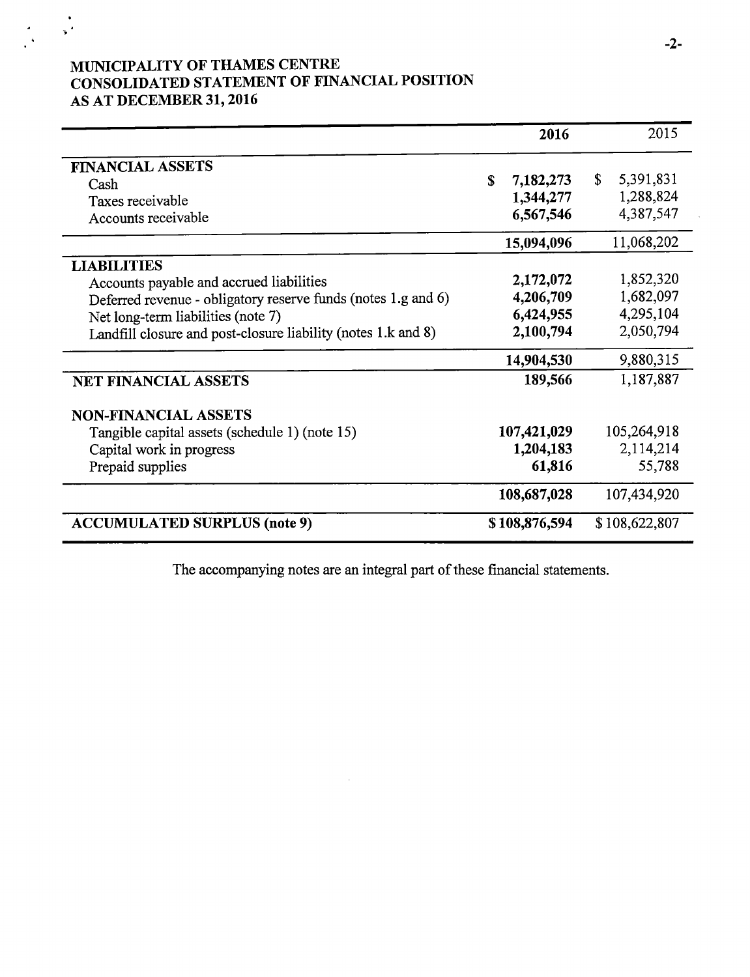# MUNICIPALITY OF THAMES CENTRE CONSOLIDATED STATEMENT OF FINANCIAL POSITION AS AT DECEMBER 31, 2016

 $\ddot{\cdot}$ 

|                                                               | 2016           | 2015            |
|---------------------------------------------------------------|----------------|-----------------|
| <b>FINANCIAL ASSETS</b>                                       |                |                 |
| Cash                                                          | 7,182,273<br>S | 5,391,831<br>\$ |
| Taxes receivable                                              | 1,344,277      | 1,288,824       |
| Accounts receivable                                           | 6,567,546      | 4,387,547       |
|                                                               | 15,094,096     | 11,068,202      |
| <b>LIABILITIES</b>                                            |                |                 |
| Accounts payable and accrued liabilities                      | 2,172,072      | 1,852,320       |
| Deferred revenue - obligatory reserve funds (notes 1.g and 6) | 4,206,709      | 1,682,097       |
| Net long-term liabilities (note 7)                            | 6,424,955      | 4,295,104       |
| Landfill closure and post-closure liability (notes 1.k and 8) | 2,100,794      | 2,050,794       |
|                                                               | 14,904,530     | 9,880,315       |
| NET FINANCIAL ASSETS                                          | 189,566        | 1,187,887       |
| <b>NON-FINANCIAL ASSETS</b>                                   |                |                 |
| Tangible capital assets (schedule 1) (note 15)                | 107,421,029    | 105,264,918     |
| Capital work in progress                                      | 1,204,183      | 2,114,214       |
| Prepaid supplies                                              | 61,816         | 55,788          |
|                                                               | 108,687,028    | 107,434,920     |
| <b>ACCUMULATED SURPLUS (note 9)</b>                           | \$108,876,594  | \$108,622,807   |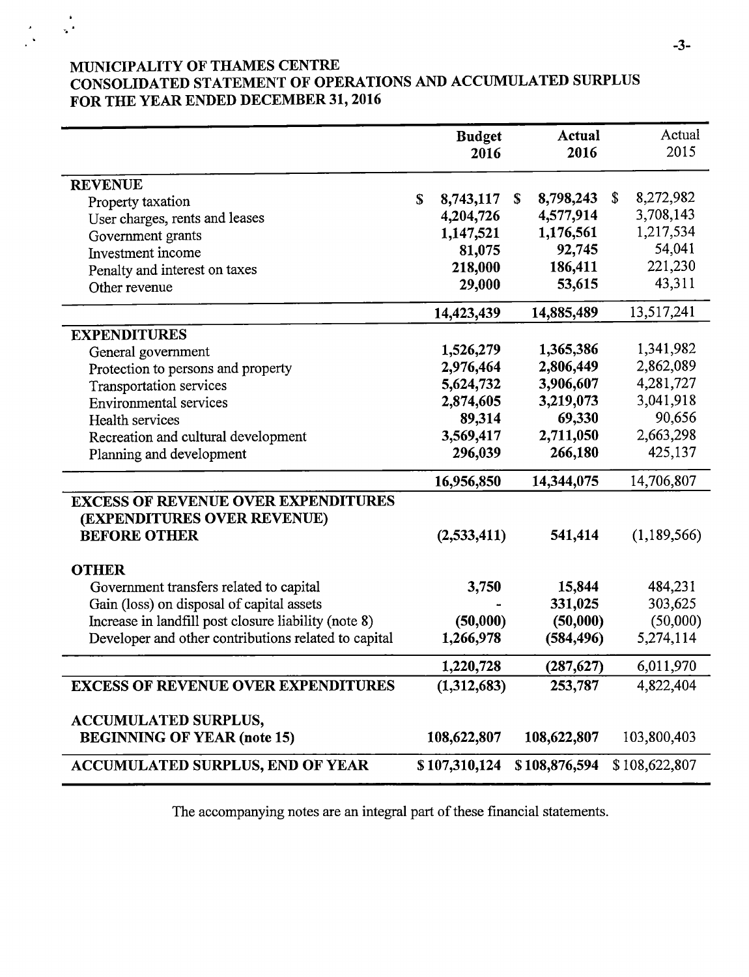# MUNICIPALITY OF THAMES CENTRE CONSOLIDATED STATEMENT OF OPERATIONS AND ACCUMULATED SURPLUS FOR THE YEAR ENDED DECEMBER 31, 2016

 $\hat{\bullet}$  $\mathbf{v}$ 

|                                                      | <b>Budget</b><br>2016 |             | <b>Actual</b><br>2016 | Actual<br>2015  |
|------------------------------------------------------|-----------------------|-------------|-----------------------|-----------------|
| <b>REVENUE</b>                                       |                       |             |                       |                 |
| Property taxation                                    | \$<br>8,743,117       | $\mathbf S$ | 8,798,243             | \$<br>8,272,982 |
| User charges, rents and leases                       | 4,204,726             |             | 4,577,914             | 3,708,143       |
| Government grants                                    | 1,147,521             |             | 1,176,561             | 1,217,534       |
| Investment income                                    | 81,075                |             | 92,745                | 54,041          |
| Penalty and interest on taxes                        | 218,000               |             | 186,411               | 221,230         |
| Other revenue                                        | 29,000                |             | 53,615                | 43,311          |
|                                                      | 14,423,439            |             | 14,885,489            | 13,517,241      |
| <b>EXPENDITURES</b>                                  |                       |             |                       |                 |
| General government                                   | 1,526,279             |             | 1,365,386             | 1,341,982       |
| Protection to persons and property                   | 2,976,464             |             | 2,806,449             | 2,862,089       |
| <b>Transportation services</b>                       | 5,624,732             |             | 3,906,607             | 4,281,727       |
| <b>Environmental services</b>                        | 2,874,605             |             | 3,219,073             | 3,041,918       |
| Health services                                      | 89,314                |             | 69,330                | 90,656          |
| Recreation and cultural development                  | 3,569,417             |             | 2,711,050             | 2,663,298       |
| Planning and development                             | 296,039               |             | 266,180               | 425,137         |
|                                                      | 16,956,850            |             | 14,344,075            | 14,706,807      |
| <b>EXCESS OF REVENUE OVER EXPENDITURES</b>           |                       |             |                       |                 |
| (EXPENDITURES OVER REVENUE)                          |                       |             |                       |                 |
| <b>BEFORE OTHER</b>                                  | (2,533,411)           |             | 541,414               | (1,189,566)     |
| <b>OTHER</b>                                         |                       |             |                       |                 |
| Government transfers related to capital              | 3,750                 |             | 15,844                | 484,231         |
| Gain (loss) on disposal of capital assets            |                       |             | 331,025               | 303,625         |
| Increase in landfill post closure liability (note 8) | (50,000)              |             | (50,000)              | (50,000)        |
| Developer and other contributions related to capital | 1,266,978             |             | (584, 496)            | 5,274,114       |
|                                                      | 1,220,728             |             | (287, 627)            | 6,011,970       |
| <b>EXCESS OF REVENUE OVER EXPENDITURES</b>           | (1,312,683)           |             | 253,787               | 4,822,404       |
|                                                      |                       |             |                       |                 |
| <b>ACCUMULATED SURPLUS,</b>                          |                       |             |                       |                 |
| <b>BEGINNING OF YEAR (note 15)</b>                   | 108,622,807           |             | 108,622,807           | 103,800,403     |
| ACCUMULATED SURPLUS, END OF YEAR                     | \$107,310,124         |             | \$108,876,594         | \$108,622,807   |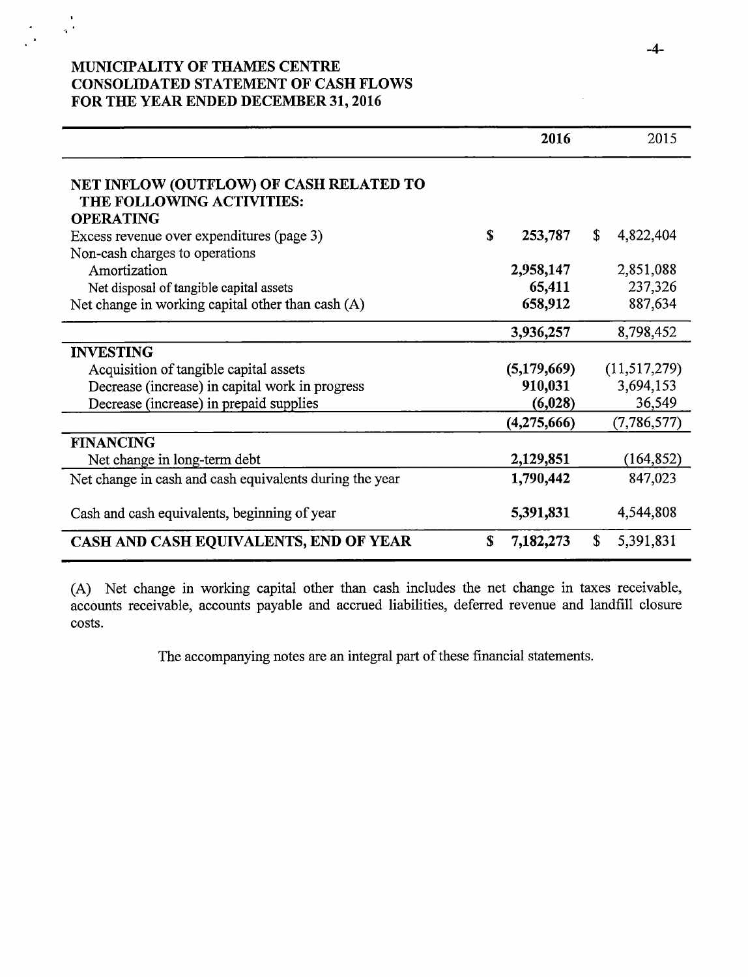# MUNICIPALITY OF THAMES CENTRE CONSOLIDATED STATEMENT OF CASH FLOWS FOR THE YEAR ENDED DECEMBER 31, 2016

 $\frac{1}{3}$ 

|                                                                                          |   | 2016        | 2015                      |
|------------------------------------------------------------------------------------------|---|-------------|---------------------------|
| NET INFLOW (OUTFLOW) OF CASH RELATED TO<br>THE FOLLOWING ACTIVITIES:<br><b>OPERATING</b> |   |             |                           |
| Excess revenue over expenditures (page 3)<br>Non-cash charges to operations              | S | 253,787     | $\mathbb{S}$<br>4,822,404 |
| Amortization                                                                             |   | 2,958,147   | 2,851,088                 |
| Net disposal of tangible capital assets                                                  |   | 65,411      | 237,326                   |
| Net change in working capital other than cash $(A)$                                      |   | 658,912     | 887,634                   |
|                                                                                          |   | 3,936,257   | 8,798,452                 |
| <b>INVESTING</b>                                                                         |   |             |                           |
| Acquisition of tangible capital assets                                                   |   | (5,179,669) | (11,517,279)              |
| Decrease (increase) in capital work in progress                                          |   | 910,031     | 3,694,153                 |
| Decrease (increase) in prepaid supplies                                                  |   | (6,028)     | 36,549                    |
|                                                                                          |   | (4,275,666) | (7,786,577)               |
| <b>FINANCING</b>                                                                         |   |             |                           |
| Net change in long-term debt                                                             |   | 2,129,851   | (164, 852)                |
| Net change in cash and cash equivalents during the year                                  |   | 1,790,442   | 847,023                   |
| Cash and cash equivalents, beginning of year                                             |   | 5,391,831   | 4,544,808                 |
| CASH AND CASH EQUIVALENTS, END OF YEAR                                                   | S | 7,182,273   | $\mathbb{S}$<br>5,391,831 |

A) Net change in working capital other than cash includes the net change in taxes receivable, accounts receivable, accounts payable and accrued liabilities, deferred revenue and landfill closure costs.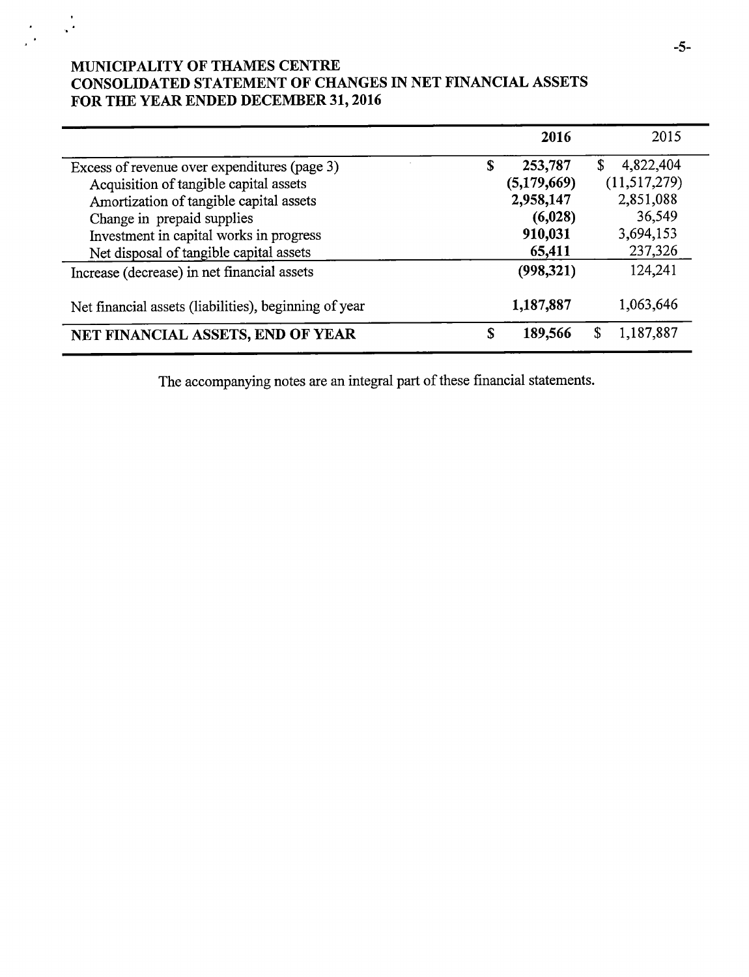# MUNICIPALITY OF THAMES CENTRE CONSOLIDATED STATEMENT OF CHANGES IN NET FINANCIAL ASSETS FOR THE YEAR ENDED DECEMBER 31, 2016

 $\frac{1}{2}$ 

|                                                       |    | 2016        |   | 2015           |
|-------------------------------------------------------|----|-------------|---|----------------|
| Excess of revenue over expenditures (page 3)          | S  | 253,787     | S | 4,822,404      |
| Acquisition of tangible capital assets                |    | (5,179,669) |   | (11, 517, 279) |
| Amortization of tangible capital assets               |    | 2,958,147   |   | 2,851,088      |
| Change in prepaid supplies                            |    | (6,028)     |   | 36,549         |
| Investment in capital works in progress               |    | 910,031     |   | 3,694,153      |
| Net disposal of tangible capital assets               |    | 65,411      |   | 237,326        |
| Increase (decrease) in net financial assets           |    | (998, 321)  |   | 124,241        |
| Net financial assets (liabilities), beginning of year |    | 1,187,887   |   | 1,063,646      |
| NET FINANCIAL ASSETS, END OF YEAR                     | \$ | 189,566     | S | 1,187,887      |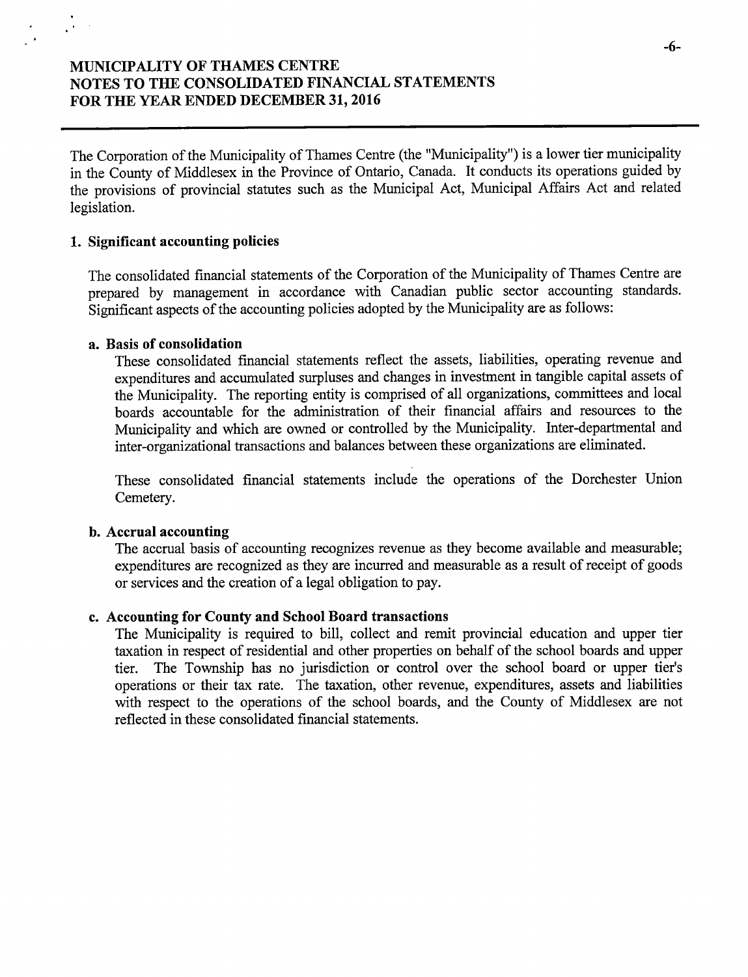The Corporation of the Municipality of Thames Centre ( the " Municipality") is <sup>a</sup> lower tier municipality in the County of Middlesex in the Province of Ontario, Canada. It conducts its operations guided by the provisions of provincial statutes such as the Municipal Act, Municipal Affairs Act and related legislation.

# 1. Significant accounting policies

The consolidated financial statements of the Corporation of the Municipality of Thames Centre are prepared by management in accordance with Canadian public sector accounting standards. Significant aspects of the accounting policies adopted by the Municipality are as follows:

## a. Basis of consolidation

These consolidated financial statements reflect the assets, liabilities, operating revenue and expenditures and accumulated surpluses and changes in investment in tangible capital assets of the Municipality. The reporting entity is comprised of all organizations, committees and local boards accountable for the administration of their financial affairs and resources to the Municipality and which are owned or controlled by the Municipality. Inter- departmental and inter-organizational transactions and balances between these organizations are eliminated.

These consolidated financial statements include the operations of the Dorchester Union Cemetery.

## b. Accrual accounting

The accrual basis of accounting recognizes revenue as they become available and measurable; expenditures are recognized as they are incurred and measurable as <sup>a</sup> result of receipt of goods or services and the creation of <sup>a</sup> legal obligation to pay.

# c. Accounting for County and School Board transactions

The Municipality is required to bill, collect and remit provincial education and upper tier taxation in respect of residential and other properties on behalf of the school boards and upper tier. The Township has no jurisdiction or control over the school board or upper tier's operations or their tax rate. The taxation, other revenue, expenditures, assets and liabilities with respect to the operations of the school boards, and the County of Middlesex are not reflected in these consolidated financial statements.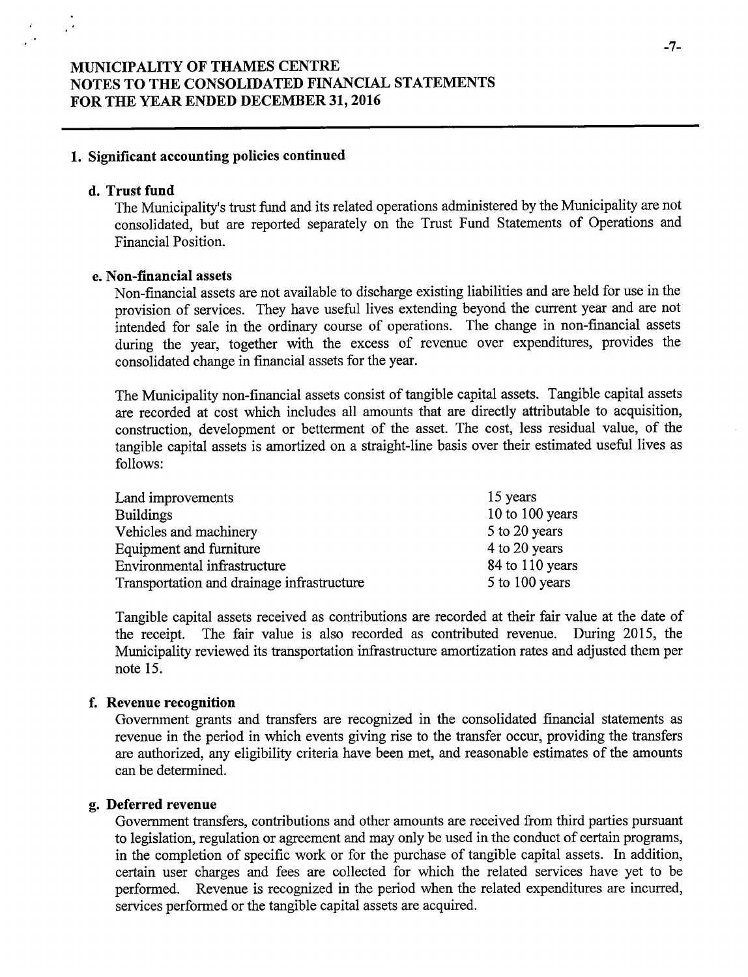## 1. Significant accounting policies continued

# d. Trust fund

The Municipality's trust fund and its related operations administered by the Municipality are not consolidated, but are reported separately on the Trust Fund Statements of Operations and Financial Position.

### e. Non-financial assets

Non- financial assets are not available to discharge existing liabilities and are held for use in the provision of services. They have useful lives extending beyond the current year and are not intended for sale in the ordinary course of operations. The change in non-financial assets during the year, together with the excess of revenue over expenditures, provides the consolidated change in financial assets for the year.

The Municipality non-financial assets consist of tangible capital assets. Tangible capital assets are recorded at cost which includes all amounts that are directly attributable to acquisition, construction, development or betterment of the asset. The cost, less residual value, of the tangible capital assets is amortized on a straight-line basis over their estimated useful lives as follows:

| Land improvements                          | 15 years        |
|--------------------------------------------|-----------------|
| <b>Buildings</b>                           | 10 to 100 years |
| Vehicles and machinery                     | 5 to 20 years   |
| Equipment and furniture                    | 4 to 20 years   |
| Environmental infrastructure               | 84 to 110 years |
| Transportation and drainage infrastructure | 5 to 100 years  |

Tangible capital assets received as contributions are recorded at their fair value at the date of the receipt. The fair value is also recorded as contributed revenue. During 2015, the Municipality reviewed its transportation infrastructure amortization rates and adjusted them per note 15.

### f. Revenue recognition

Government grants and transfers are recognized in the consolidated financial statements as revenue in the period in which events giving rise to the transfer occur, providing the transfers are authorized, any eligibility criteria have been met, and reasonable estimates of the amounts can be determined.

### g. Deferred revenue

Government transfers, contributions and other amounts are received from third parties pursuant to legislation, regulation or agreement and may only be used in the conduct of certain programs, in the completion of specific work or for the purchase of tangible capital assets. In addition, certain user charges and fees are collected for which the related services have yet to be performed. Revenue is recognized in the period when the related expenditures are incurred, services performed or the tangible capital assets are acquired.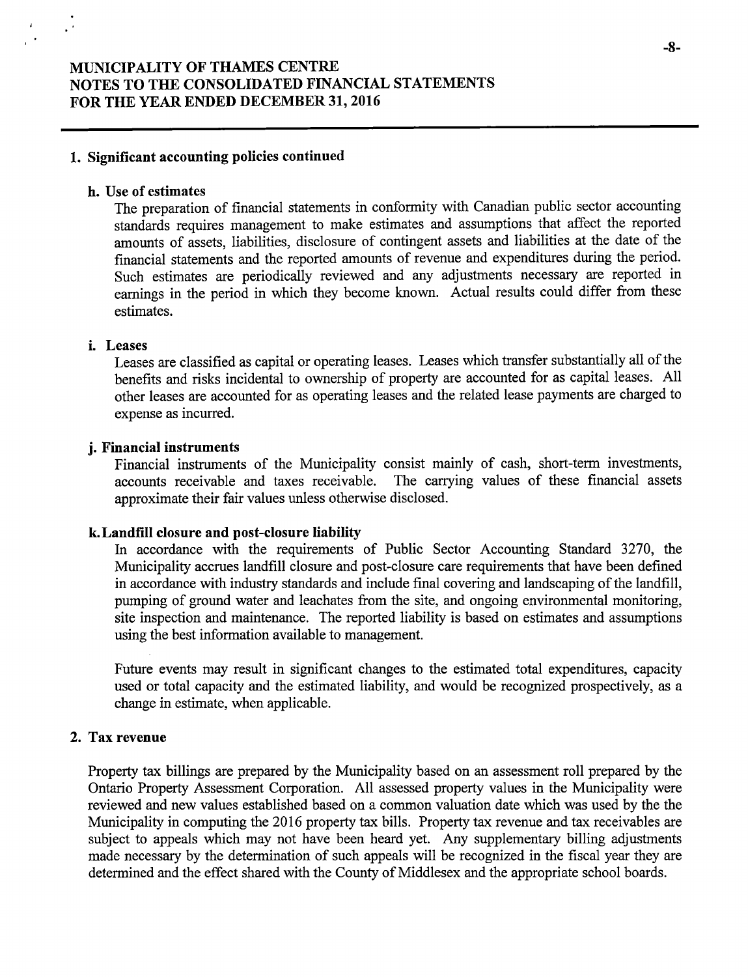## 1. Significant accounting policies continued

## h. Use of estimates

The preparation of financial statements in conformity with Canadian public sector accounting standards requires management to make estimates and assumptions that affect the reported amounts of assets, liabilities, disclosure of contingent assets and liabilities at the date of the financial statements and the reported amounts of revenue and expenditures during the period. Such estimates are periodically reviewed and any adjustments necessary are reported in earnings in the period in which they become known. Actual results could differ from these estimates.

### i. Leases

Leases are classified as capital or operating leases. Leases which transfer substantially all of the benefits and risks incidental to ownership of property are accounted for as capital leases. All other leases are accounted for as operating leases and the related lease payments are charged to expense as incurred.

## j. Financial instruments

Financial instruments of the Municipality consist mainly of cash, short-term investments, accounts receivable and taxes receivable. The carrying values of these financial assets The carrying values of these financial assets approximate their fair values unless otherwise disclosed.

### k.Landfill closure and post-closure liability

In accordance with the requirements of Public Sector Accounting Standard 3270, the Municipality accrues landfill closure and post-closure care requirements that have been defined in accordance with industry standards and include final covering and landscaping of the landfill, pumping of ground water and leachates from the site, and ongoing environmental monitoring, site inspection and maintenance. The reported liability is based on estimates and assumptions using the best information available to management.

Future events may result in significant changes to the estimated total expenditures, capacity used or total capacity and the estimated liability, and would be recognized prospectively, as a change in estimate, when applicable.

# 2. Tax revenue

Property tax billings are prepared by the Municipality based on an assessment roll prepared by the Ontario Property Assessment Corporation. All assessed property values in the Municipality were reviewed and new values established based on a common valuation date which was used by the the Municipality in computing the 2016 property tax bills. Property tax revenue and tax receivables are subject to appeals which may not have been heard yet. Any supplementary billing adjustments made necessary by the determination of such appeals will be recognized in the fiscal year they are determined and the effect shared with the County of Middlesex and the appropriate school boards.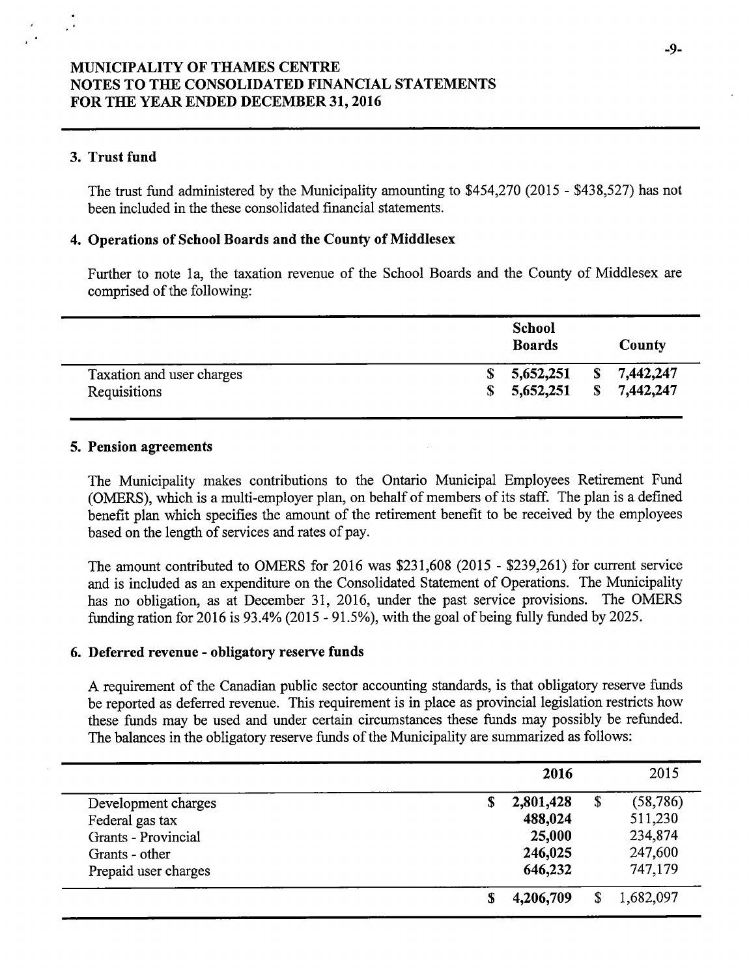## 3. Trust fund

The trust fund administered by the Municipality amounting to \$454,270 (2015 - \$438,527) has not been included in the these consolidated financial statements.

## 4. Operations of School Boards and the County of Middlesex

Further to note la, the taxation revenue of the School Boards and the County of Middlesex are comprised of the following:

|                           |    | <b>School</b><br><b>Boards</b> |             | County      |  |
|---------------------------|----|--------------------------------|-------------|-------------|--|
| Taxation and user charges | S. | 5,652,251                      |             | \$7,442,247 |  |
| Requisitions              | S. | 5,652,251                      | $\mathbf S$ | 7,442,247   |  |

# 5. Pension agreements

The Municipality makes contributions to the Ontario Municipal Employees Retirement Fund (OMERS), which is a multi-employer plan, on behalf of members of its staff. The plan is a defined benefit plan which specifies the amount of the retirement benefit to be received by the employees based on the length of services and rates of pay.

The amount contributed to OMERS for 2016 was \$231,608 (2015 - \$239,261) for current service and is included as an expenditure on the Consolidated Statement of Operations. The Municipality has no obligation, as at December 31, 2016, under the past service provisions. The OMERS funding ration for 2016 is 93. 4% ( 2015 - 91. 5%), with the goal of being fully funded by 2025.

## 6. Deferred revenue- obligatory reserve funds

A requirement of the Canadian public sector accounting standards, is that obligatory reserve funds be reported as deferred revenue. This requirement is in place as provincial legislation restricts how these funds may be used and under certain circumstances these funds may possibly be refunded. The balances in the obligatory reserve funds of the Municipality are summarized as follows:

|                            |                | 2016    | 2015            |
|----------------------------|----------------|---------|-----------------|
| Development charges        | 2,801,428<br>S |         | \$<br>(58, 786) |
| Federal gas tax            |                | 488,024 | 511,230         |
| <b>Grants</b> - Provincial |                | 25,000  | 234,874         |
| Grants - other             |                | 246,025 | 247,600         |
| Prepaid user charges       |                | 646,232 | 747,179         |
|                            | 4,206,709<br>S |         | 1,682,097       |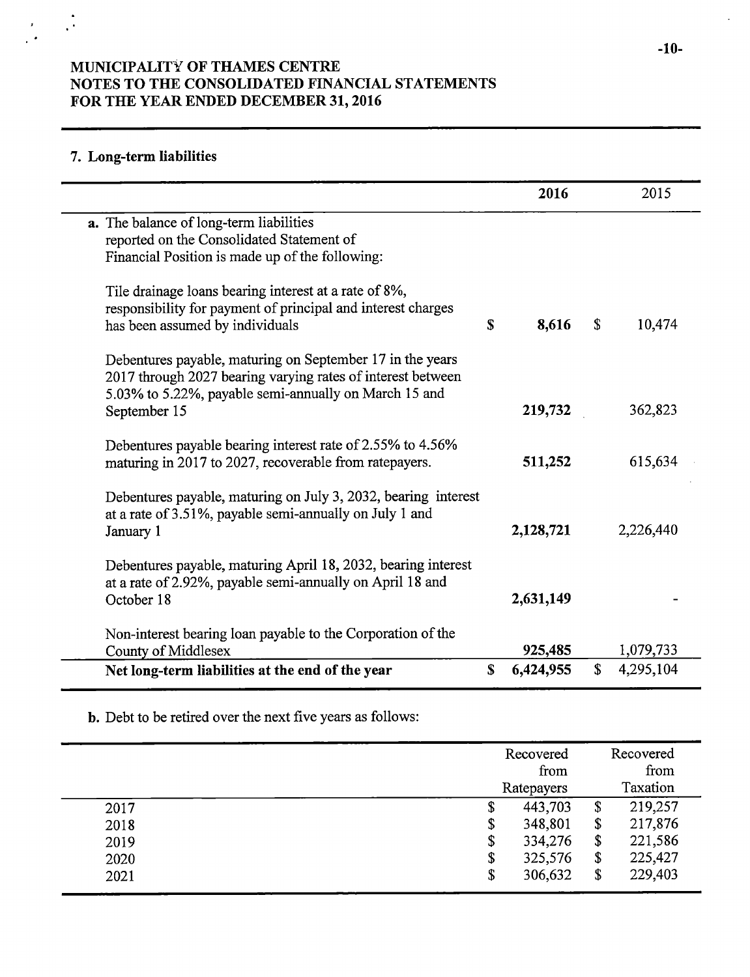# 7. Long-term liabilities

|                                                                                                                                                                                                   | 2016      | 2015            |
|---------------------------------------------------------------------------------------------------------------------------------------------------------------------------------------------------|-----------|-----------------|
| a. The balance of long-term liabilities<br>reported on the Consolidated Statement of<br>Financial Position is made up of the following:                                                           |           |                 |
| Tile drainage loans bearing interest at a rate of 8%,<br>responsibility for payment of principal and interest charges<br>S<br>has been assumed by individuals                                     | 8,616     | \$<br>10,474    |
| Debentures payable, maturing on September 17 in the years<br>2017 through 2027 bearing varying rates of interest between<br>5.03% to 5.22%, payable semi-annually on March 15 and<br>September 15 | 219,732   | 362,823         |
| Debentures payable bearing interest rate of 2.55% to 4.56%<br>maturing in 2017 to 2027, recoverable from ratepayers.                                                                              | 511,252   | 615,634         |
| Debentures payable, maturing on July 3, 2032, bearing interest<br>at a rate of 3.51%, payable semi-annually on July 1 and<br>January 1                                                            | 2,128,721 | 2,226,440       |
| Debentures payable, maturing April 18, 2032, bearing interest<br>at a rate of 2.92%, payable semi-annually on April 18 and<br>October 18                                                          | 2,631,149 |                 |
| Non-interest bearing loan payable to the Corporation of the<br>County of Middlesex                                                                                                                | 925,485   | 1,079,733       |
| \$<br>Net long-term liabilities at the end of the year                                                                                                                                            | 6,424,955 | \$<br>4,295,104 |

b. Debt to be retired over the next five years as follows:

|      | Recovered          | Recovered        |
|------|--------------------|------------------|
|      | from<br>Ratepayers | from<br>Taxation |
| 2017 | 443,703<br>\$      | \$<br>219,257    |
| 2018 | \$<br>348,801      | \$<br>217,876    |
| 2019 | \$<br>334,276      | \$<br>221,586    |
| 2020 | \$<br>325,576      | \$<br>225,427    |
| 2021 | \$<br>306,632      | \$<br>229,403    |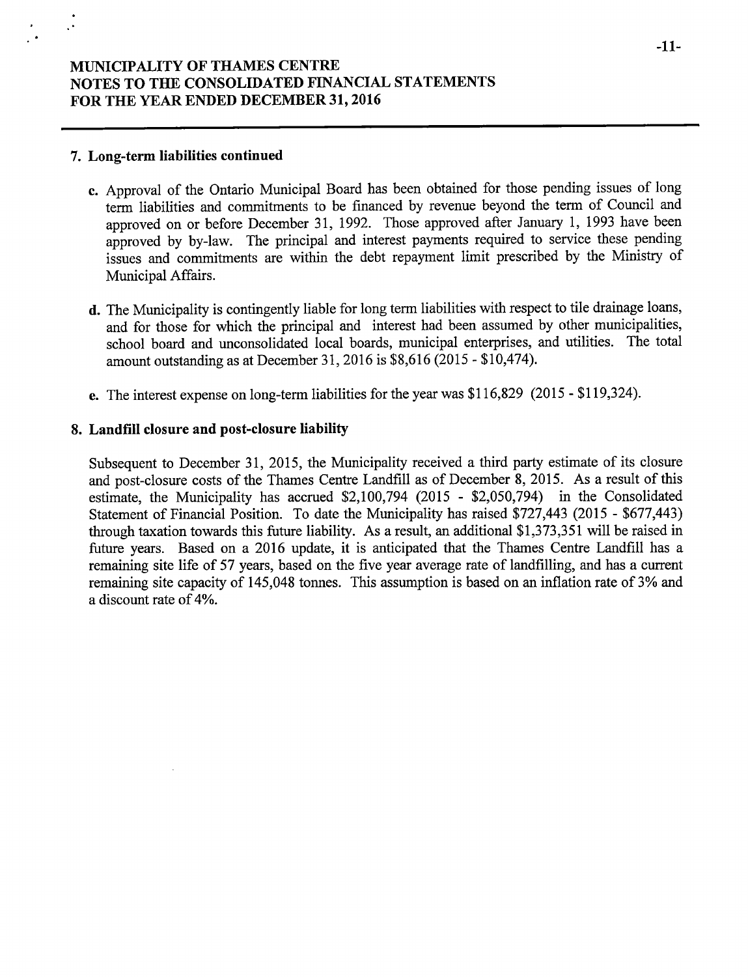# 7. Long-term liabilities continued

- c. Approval of the Ontario Municipal Board has been obtained for those pending issues of long term liabilities and commitments to be financed by revenue beyond the term of Council and approved on or before December 31, 1992. Those approved after January 1, 1993 have been approved by by-law. The principal and interest payments required to service these pending issues and commitments are within the debt repayment limit prescribed by the Ministry of Municipal Affairs.
- d. The Municipality is contingently liable for long term liabilities with respect to tile drainage loans, and for those for which the principal and interest had been assumed by other municipalities, school board and unconsolidated local boards, municipal enterprises, and utilities. The total amount outstanding as at December 31, 2016 is \$8,616 (2015 - \$10,474).
- e. The interest expense on long-term liabilities for the year was \$116,829 (2015 \$119,324).

# 8. Landfill closure and post-closure liability

Subsequent to December 31, 2015, the Municipality received a third party estimate of its closure and post- closure costs of the Thames Centre Landfill as of December 8, 2015. As <sup>a</sup> result of this estimate, the Municipality has accrued  $$2,100,794$  (2015 -  $$2,050,794$ ) in the Consolidated Statement of Financial Position. To date the Municipality has raised \$727,443 (2015 - \$677,443) through taxation towards this future liability. As a result, an additional \$1,373,351 will be raised in future years. Based on a 2016 update, it is anticipated that the Thames Centre Landfill has a remaining site life of 57 years, based on the five year average rate of landfilling, and has a current remaining site capacity of 145, <sup>048</sup> tonnes. This assumption is based on an inflation rate of 3% and <sup>a</sup> discount rate of 4%.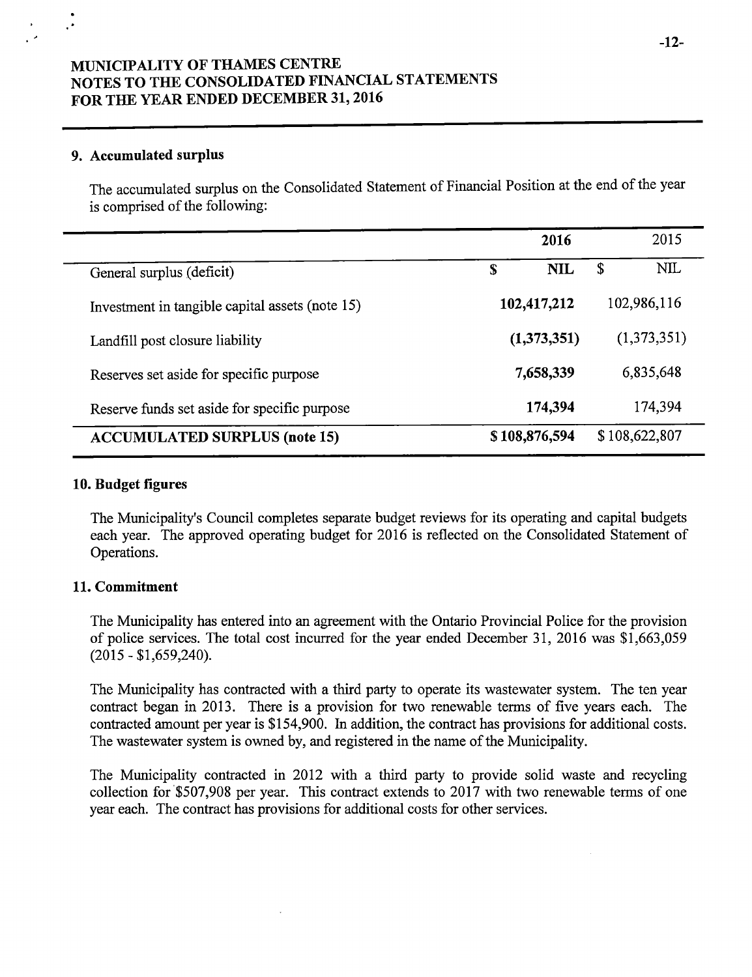# 9. Accumulated surplus

The accumulated surplus on the Consolidated Statement of Financial Position at the end of the year is comprised of the following:

|                                                 | 2016            | 2015             |
|-------------------------------------------------|-----------------|------------------|
| General surplus (deficit)                       | <b>NIL</b><br>S | <b>NIL</b><br>\$ |
| Investment in tangible capital assets (note 15) | 102,417,212     | 102,986,116      |
| Landfill post closure liability                 | (1,373,351)     | (1,373,351)      |
| Reserves set aside for specific purpose         | 7,658,339       | 6,835,648        |
| Reserve funds set aside for specific purpose    | 174,394         | 174,394          |
| <b>ACCUMULATED SURPLUS (note 15)</b>            | \$108,876,594   | \$108,622,807    |

# 10. Budget figures

The Municipality's Council completes separate budget reviews for its operating and capital budgets each year. The approved operating budget for 2016 is reflected on the Consolidated Statement of Operations.

# 11. Commitment

The Municipality has entered into an agreement with the Ontario Provincial Police for the provision of police services. The total cost incurred for the year ended December 31, 2016 was \$1,663,059  $(2015 - $1,659,240).$ 

The Municipality has contracted with <sup>a</sup> third party to operate its wastewater system. The ten year contract began in 2013. There is <sup>a</sup> provision for two renewable terms of five years each. The contracted amount per year is \$154,900. In addition, the contract has provisions for additional costs. The wastewater system is owned by, and registered in the name of the Municipality.

The Municipality contracted in 2012 with a third party to provide solid waste and recycling collection for \$507,908 per year. This contract extends to 2017 with two renewable terms of one year each. The contract has provisions for additional costs for other services.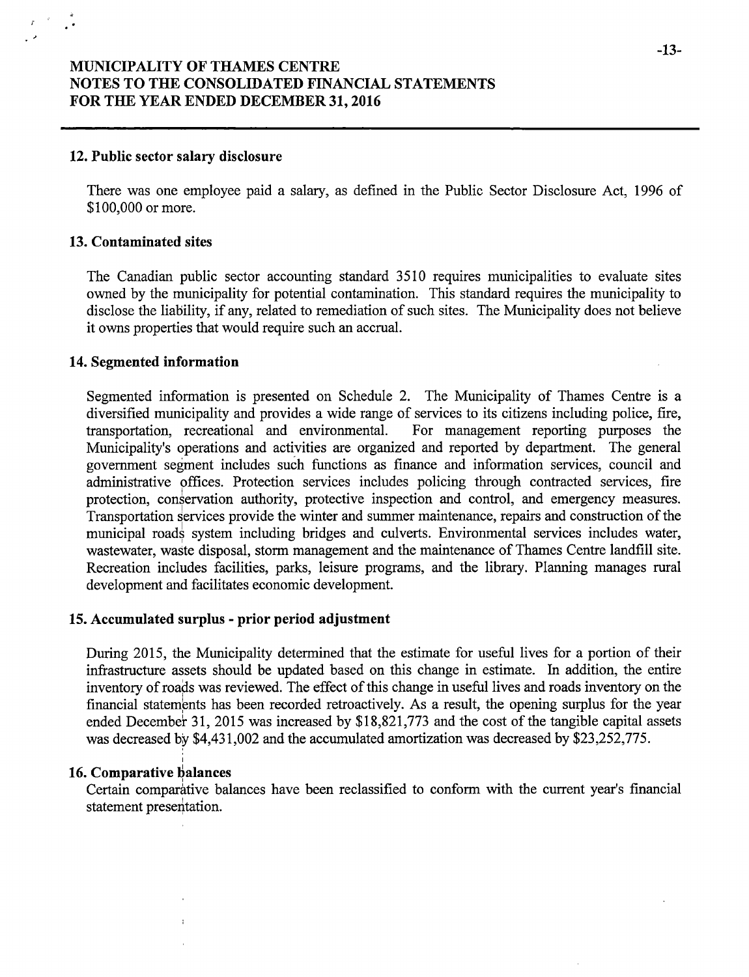### 12. Public sector salary disclosure

There was one employee paid a salary, as defined in the Public Sector Disclosure Act, 1996 of \$100,000 or more.

# 13. Contaminated sites

The Canadian public sector accounting standard 3510 requires municipalities to evaluate sites owned by the municipality for potential contamination. This standard requires the municipality to disclose the liability, if any, related to remediation of such sites. The Municipality does not believe it owns properties that would require such an accrual.

## 14. Segmented information

Segmented information is presented on Schedule 2. The Municipality of Thames Centre is <sup>a</sup> diversified municipality and provides a wide range of services to its citizens including police, fire, transportation, recreational and environmental. For management reporting purposes the transportation, recreational and environmental. Municipality's operations and activities are organized and reported by department. The general government segment includes such functions as finance and information services, council and administrative offices. Protection services includes policing through contracted services, fire protection, conservation authority, protective inspection and control, and emergency measures. Transportation services provide the winter and summer maintenance, repairs and construction of the municipal roads system including bridges and culverts. Environmental services includes water, wastewater, waste disposal, storm management and the maintenance of Thames Centre landfill site. Recreation includes facilities, parks, leisure programs, and the library. Planning manages rural development and facilitates economic development.

### 15. Accumulated surplus - prior period adjustment

During 2015, the Municipality determined that the estimate for useful lives for a portion of their infrastructure assets should be updated based on this change in estimate. In addition, the entire inventory of roads was reviewed. The effect of this change in useful lives and roads inventory on the financial statements has been recorded retroactively. As a result, the opening surplus for the year ended December 31, 2015 was increased by \$18,821,773 and the cost of the tangible capital assets was decreased by \$4,431,002 and the accumulated amortization was decreased by \$23,252,775.

## 16. Comparative balances

Certain comparative balances have been reclassified to conform with the current year's financial statement presentation.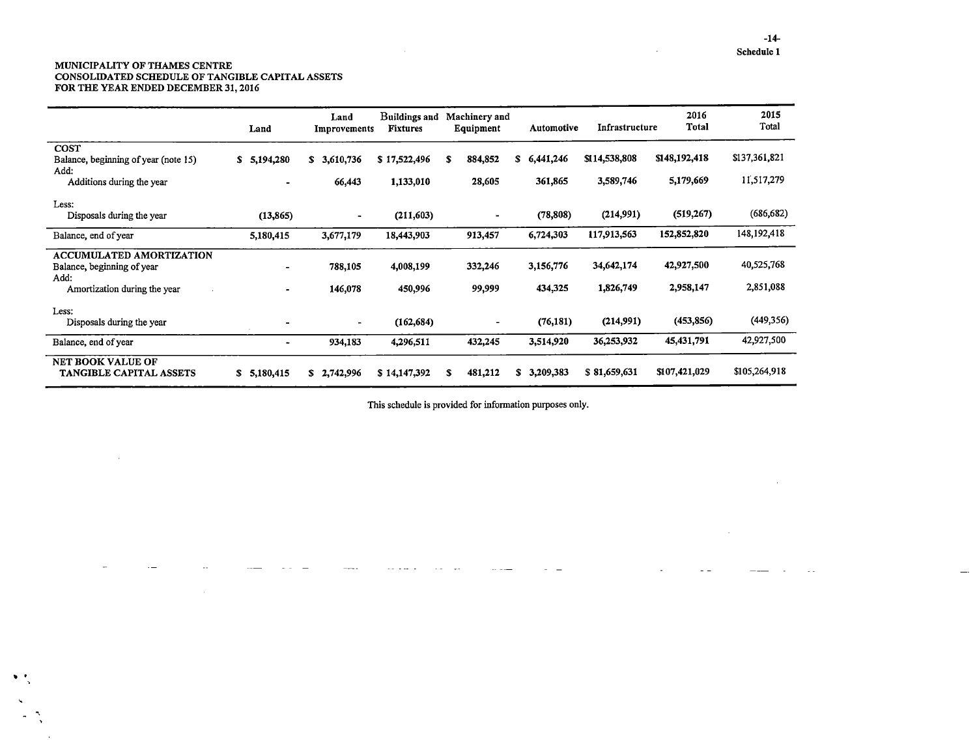$\sim 10^7$ 

 $\sim$ 

 $\sim$   $-$ 

#### MUNICIPALITY OF THAMES CENTRE CONSOLIDATED SCHEDULE OF TANGIBLE CAPITAL ASSETS FOR THE YEAR ENDED DECEMBER 31, 2016

 $\sim$   $\sim$   $\sim$   $\sim$ 

 $\cdots$  —

 $\overline{\phantom{a}}$ 

and a series

**Contract Contract** 

 $\sim$ 

 $\sim$ 

|                                                                | Land           | Land<br>Improvements | Buildings and<br><b>Fixtures</b> | Machinery and<br>Equipment |    | Automotive | Infrastructure | 2016<br><b>Total</b> | 2015<br>Total |
|----------------------------------------------------------------|----------------|----------------------|----------------------------------|----------------------------|----|------------|----------------|----------------------|---------------|
| <b>COST</b><br>Balance, beginning of year (note 15)<br>Add:    | \$5,194,280    | S.<br>3,610,736      | \$17,522,496                     | 884,852<br>S               | S. | 6,441,246  | \$114,538,808  | \$148,192,418        | \$137,361,821 |
| Additions during the year                                      |                | 66,443               | 1,133,010                        | 28,605                     |    | 361,865    | 3,589,746      | 5,179,669            | 11,517,279    |
| Less:<br>Disposals during the year                             | (13, 865)      | $\blacksquare$       | (211, 603)                       |                            |    | (78, 808)  | (214,991)      | (519, 267)           | (686, 682)    |
| Balance, end of year                                           | 5,180,415      | 3,677,179            | 18,443,903                       | 913,457                    |    | 6,724,303  | 117,913,563    | 152,852,820          | 148, 192, 418 |
| ACCUMULATED AMORTIZATION<br>Balance, beginning of year<br>Add: |                | 788,105              | 4,008,199                        | 332,246                    |    | 3,156,776  | 34,642,174     | 42,927,500           | 40,525,768    |
| Amortization during the year                                   | -              | 146,078              | 450,996                          | 99,999                     |    | 434,325    | 1,826,749      | 2,958,147            | 2,851,088     |
| Less:<br>Disposals during the year                             |                | ۰                    | (162, 684)                       |                            |    | (76, 181)  | (214,991)      | (453, 856)           | (449, 356)    |
| Balance, end of year                                           | $\blacksquare$ | 934,183              | 4,296,511                        | 432,245                    |    | 3,514,920  | 36,253,932     | 45,431,791           | 42,927,500    |
| <b>NET BOOK VALUE OF</b><br>TANGIBLE CAPITAL ASSETS            | \$5,180,415    | \$2,742,996          | \$14,147,392                     | 481,212<br>S               | s  | 3,209,383  | \$81,659,631   | \$107,421,029        | \$105,264,918 |

 $\sim$ 

This schedule is provided for information purposes only.

 $\sim$   $-$ 

 $\sim$   $-$ 

 $\alpha$